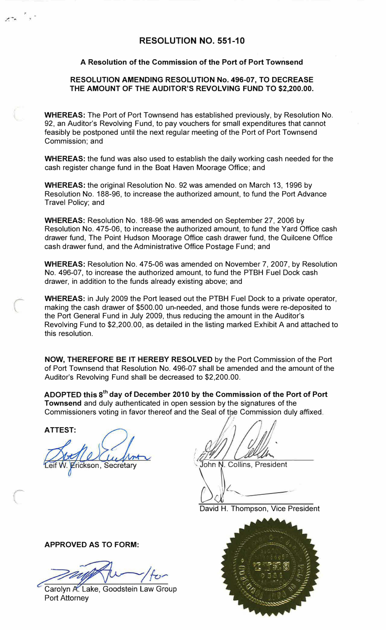### **RESOLUTION NO. 551-10**

#### **A Resolution of the Commission of the Port of Port Townsend**

#### **RESOLUTION AMENDING RESOLUTION No. 496-07, TO DECREASE THE AMOUNT OF THE AUDITOR'S REVOLVING FUND TO \$2,200.00.**

**WHEREAS:** The Port of Port Townsend has established previously, by Resolution No. 92, an Auditor's Revolving Fund, to pay vouchers for small expenditures that cannot feasibly be postponed until the next regular meeting of the Port of Port Townsend Commission; and

**WHEREAS:** the fund was also used to establish the daily working cash needed for the cash register change fund in the Boat Haven Moorage Office; and

**WHEREAS:** the original Resolution No. 92 was amended on March 13, 1996 by Resolution No. 188-96, to increase the authorized amount, to fund the Port Advance Travel Policy; and

**WHEREAS:** Resolution No. 188-96 was amended on September 27, 2006 by Resolution No. 475-06, to increase the authorized amount, to fund the Yard Office cash drawer fund, The Point Hudson Moorage Office cash drawer fund, the Quilcene Office cash drawer fund, and the Administrative Office Postage Fund; and

**WHEREAS:** Resolution No. 475-06 was amended on November 7, 2007, by Resolution No. 496-07, to increase the authorized amount, to fund the PTBH Fuel Dock cash drawer, in addition to the funds already existing above; and

**WHEREAS:** in July 2009 the Port leased out the PTBH Fuel Dock to a private operator, making the cash drawer of \$500.00 un-needed, and those funds were re-deposited to the Port General Fund in July 2009, thus reducing the amount in the Auditor's Revolving Fund to \$2,200.00, as detailed in the listing marked Exhibit A and attached to this resolution.

**NOW, THEREFORE BE IT HEREBY RESOLVED** by the Port Commission of the Port of Port Townsend that Resolution No. 496-07 shall be amended and the amount of the Auditor's Revolving Fund shall be decreased to \$2,200.00.

**ADOPTED this 8 th day of December 2010 by the Commission of the Port of Port Townsend** and duly authenticated in open session by the signatures of the Commissioners voting in favor thereof and the Seal of the Commission duly affixed.

**ATTEST:** 

 $\mu$ rickson, Secretary

*!*  ; ill John N. Collins, President

David H. Thompson, Vice President



**APPROVED AS TO FORM:** 

Carolyn A. Lake, Goodstein Law Group Port Attorney